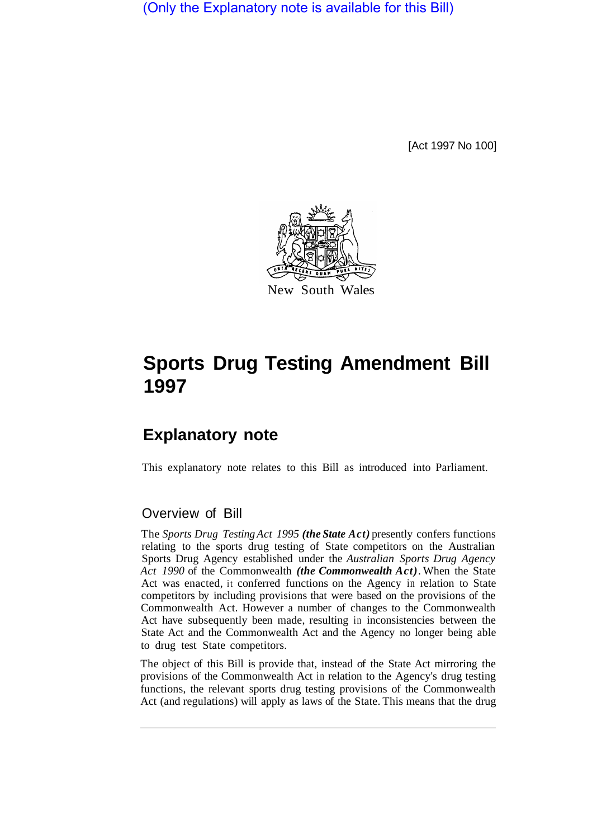(Only the Explanatory note is available for this Bill)

[Act 1997 No 100]



# **Sports Drug Testing Amendment Bill 1997**

## **Explanatory note**

This explanatory note relates to this Bill as introduced into Parliament.

### Overview of Bill

The *Sports Drug Testing Act 1995 (the State Act)* presently confers functions relating to the sports drug testing of State competitors on the Australian Sports Drug Agency established under the *Australian Sports Drug Agency Act 1990* of the Commonwealth *(the Commonwealth Act)*. When the State Act was enacted, it conferred functions on the Agency in relation to State competitors by including provisions that were based on the provisions of the Commonwealth Act. However a number of changes to the Commonwealth Act have subsequently been made, resulting in inconsistencies between the State Act and the Commonwealth Act and the Agency no longer being able to drug test State competitors.

The object of this Bill is provide that, instead of the State Act mirroring the provisions of the Commonwealth Act in relation to the Agency's drug testing functions, the relevant sports drug testing provisions of the Commonwealth Act (and regulations) will apply as laws of the State. This means that the drug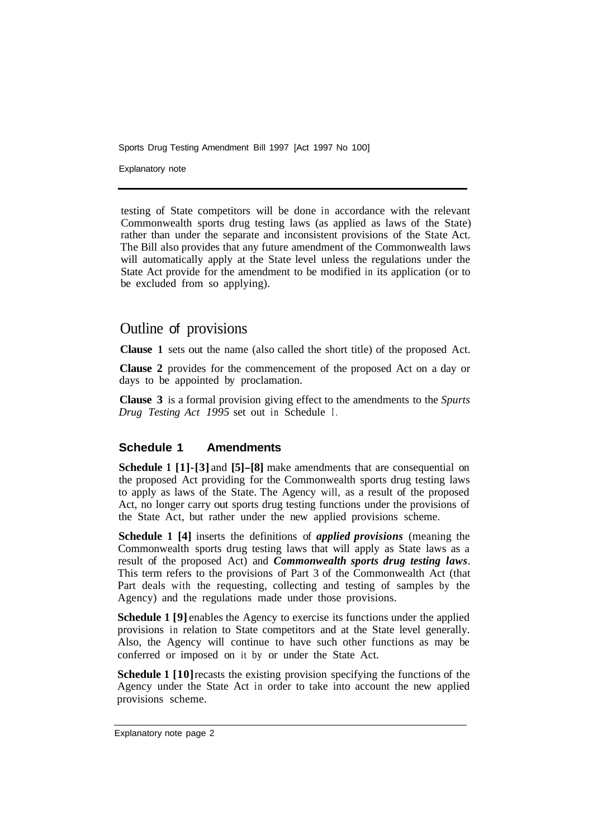Sports Drug Testing Amendment Bill 1997 [Act 1997 No 100]

Explanatory note

testing of State competitors will be done in accordance with the relevant Commonwealth sports drug testing laws (as applied as laws of the State) rather than under the separate and inconsistent provisions of the State Act. The Bill also provides that any future amendment of the Commonwealth laws will automatically apply at the State level unless the regulations under the State Act provide for the amendment to be modified in its application (or to be excluded from so applying).

## Outline of provisions

**Clause 1** sets out the name (also called the short title) of the proposed Act.

**Clause 2** provides for the commencement of the proposed Act on a day or days to be appointed by proclamation.

**Clause 3** is a formal provision giving effect to the amendments to the *Spurts Drug Testing Act 1995* set out in Schedule I.

#### **Schedule 1 Amendments**

**Schedule 1 [1]-[3]** and **[5]-[8]** make amendments that are consequential on the proposed Act providing for the Commonwealth sports drug testing laws to apply as laws of the State. The Agency will, as a result of the proposed Act, no longer carry out sports drug testing functions under the provisions of the State Act, but rather under the new applied provisions scheme.

**Schedule 1 [4]** inserts the definitions of *applied provisions* (meaning the Commonwealth sports drug testing laws that will apply as State laws as a result of the proposed Act) and *Commonwealth sports drug testing laws*. This term refers to the provisions of Part 3 of the Commonwealth Act (that Part deals with the requesting, collecting and testing of samples by the Agency) and the regulations made under those provisions.

**Schedule 1 [9] enables the Agency to exercise its functions under the applied** provisions in relation to State competitors and at the State level generally. Also, the Agency will continue to have such other functions as may be conferred or imposed on it by or under the State Act.

**Schedule 1 [10]** recasts the existing provision specifying the functions of the Agency under the State Act in order to take into account the new applied provisions scheme.